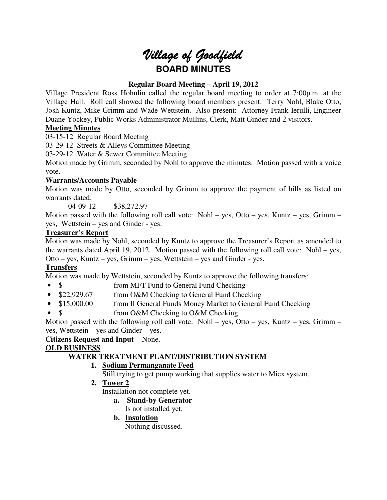# Village of Goodfield **BOARD MINUTES**

# **Regular Board Meeting – April 19, 2012**

Village President Ross Hohulin called the regular board meeting to order at 7:00p.m. at the Village Hall. Roll call showed the following board members present: Terry Nohl, Blake Otto, Josh Kuntz, Mike Grimm and Wade Wettstein. Also present: Attorney Frank Ierulli, Engineer Duane Yockey, Public Works Administrator Mullins, Clerk, Matt Ginder and 2 visitors.

# **Meeting Minutes**

03-15-12 Regular Board Meeting

03-29-12 Streets & Alleys Committee Meeting

03-29-12 Water & Sewer Committee Meeting

Motion made by Grimm, seconded by Nohl to approve the minutes. Motion passed with a voice vote.

# **Warrants/Accounts Payable**

Motion was made by Otto, seconded by Grimm to approve the payment of bills as listed on warrants dated:

04-09-12 \$38,272.97

Motion passed with the following roll call vote: Nohl – yes, Otto – yes, Kuntz – yes, Grimm – yes, Wettstein – yes and Ginder - yes.

# **Treasurer's Report**

Motion was made by Nohl, seconded by Kuntz to approve the Treasurer's Report as amended to the warrants dated April 19, 2012. Motion passed with the following roll call vote: Nohl – yes, Otto – yes, Kuntz – yes, Grimm – yes, Wettstein – yes and Ginder - yes.

# **Transfers**

Motion was made by Wettstein, seconded by Kuntz to approve the following transfers:

- \$ from MFT Fund to General Fund Checking
- \$22,929.67 from O&M Checking to General Fund Checking
- \$15,000.00 from Il General Funds Money Market to General Fund Checking
- \$ from O&M Checking to O&M Checking

Motion passed with the following roll call vote: Nohl – yes, Otto – yes, Kuntz – yes, Grimm – yes, Wettstein – yes and Ginder – yes.

# **Citizens Request and Input** - None.

# **OLD BUSINESS**

# **WATER TREATMENT PLANT/DISTRIBUTION SYSTEM**

# **1. Sodium Permanganate Feed**

- Still trying to get pump working that supplies water to Miex system.
- **2. Tower 2**

Installation not complete yet.

- **a. Stand-by Generator** Is not installed yet.
- **b. Insulation** Nothing discussed.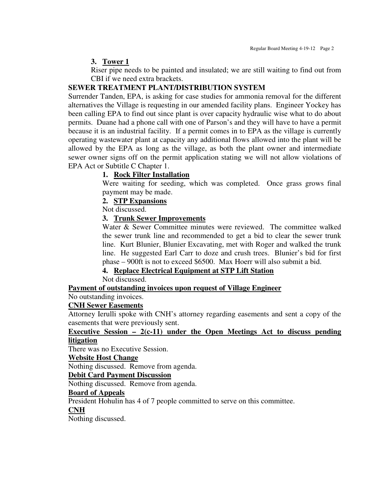## **3. Tower 1**

Riser pipe needs to be painted and insulated; we are still waiting to find out from CBI if we need extra brackets.

## **SEWER TREATMENT PLANT/DISTRIBUTION SYSTEM**

Surrender Tanden, EPA, is asking for case studies for ammonia removal for the different alternatives the Village is requesting in our amended facility plans. Engineer Yockey has been calling EPA to find out since plant is over capacity hydraulic wise what to do about permits. Duane had a phone call with one of Parson's and they will have to have a permit because it is an industrial facility. If a permit comes in to EPA as the village is currently operating wastewater plant at capacity any additional flows allowed into the plant will be allowed by the EPA as long as the village, as both the plant owner and intermediate sewer owner signs off on the permit application stating we will not allow violations of EPA Act or Subtitle C Chapter 1.

## **1. Rock Filter Installation**

Were waiting for seeding, which was completed. Once grass grows final payment may be made.

#### **2. STP Expansions**

Not discussed.

#### **3. Trunk Sewer Improvements**

Water & Sewer Committee minutes were reviewed. The committee walked the sewer trunk line and recommended to get a bid to clear the sewer trunk line. Kurt Blunier, Blunier Excavating, met with Roger and walked the trunk line. He suggested Earl Carr to doze and crush trees. Blunier's bid for first phase – 900ft is not to exceed \$6500. Max Hoerr will also submit a bid.

# **4. Replace Electrical Equipment at STP Lift Station**

Not discussed.

#### **Payment of outstanding invoices upon request of Village Engineer**

No outstanding invoices.

#### **CNH Sewer Easements**

Attorney Ierulli spoke with CNH's attorney regarding easements and sent a copy of the easements that were previously sent.

#### **Executive Session – 2(c-11) under the Open Meetings Act to discuss pending litigation**

There was no Executive Session.

## **Website Host Change**

Nothing discussed. Remove from agenda.

## **Debit Card Payment Discussion**

Nothing discussed. Remove from agenda.

## **Board of Appeals**

President Hohulin has 4 of 7 people committed to serve on this committee.

#### **CNH**

Nothing discussed.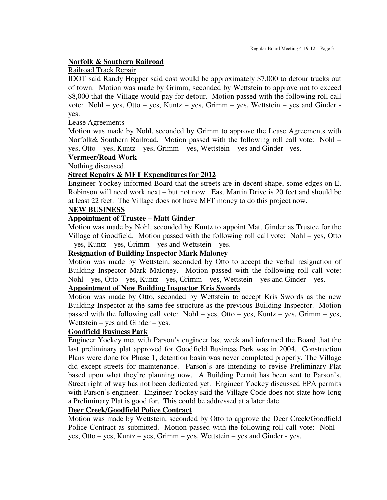### **Norfolk & Southern Railroad**

#### Railroad Track Repair

IDOT said Randy Hopper said cost would be approximately \$7,000 to detour trucks out of town. Motion was made by Grimm, seconded by Wettstein to approve not to exceed \$8,000 that the Village would pay for detour. Motion passed with the following roll call vote: Nohl – yes, Otto – yes, Kuntz – yes, Grimm – yes, Wettstein – yes and Ginder yes.

#### Lease Agreements

Motion was made by Nohl, seconded by Grimm to approve the Lease Agreements with Norfolk& Southern Railroad. Motion passed with the following roll call vote: Nohl – yes, Otto – yes, Kuntz – yes, Grimm – yes, Wettstein – yes and Ginder - yes.

## **Vermeer/Road Work**

Nothing discussed.

#### **Street Repairs & MFT Expenditures for 2012**

Engineer Yockey informed Board that the streets are in decent shape, some edges on E. Robinson will need work next – but not now. East Martin Drive is 20 feet and should be at least 22 feet. The Village does not have MFT money to do this project now.

## **NEW BUSINESS**

## **Appointment of Trustee – Matt Ginder**

Motion was made by Nohl, seconded by Kuntz to appoint Matt Ginder as Trustee for the Village of Goodfield. Motion passed with the following roll call vote: Nohl – yes, Otto – yes, Kuntz – yes, Grimm – yes and Wettstein – yes.

## **Resignation of Building Inspector Mark Maloney**

Motion was made by Wettstein, seconded by Otto to accept the verbal resignation of Building Inspector Mark Maloney. Motion passed with the following roll call vote: Nohl – yes, Otto – yes, Kuntz – yes, Grimm – yes, Wettstein – yes and Ginder – yes.

#### **Appointment of New Building Inspector Kris Swords**

Motion was made by Otto, seconded by Wettstein to accept Kris Swords as the new Building Inspector at the same fee structure as the previous Building Inspector. Motion passed with the following call vote: Nohl – yes, Otto – yes, Kuntz – yes, Grimm – yes, Wettstein – yes and Ginder – yes.

## **Goodfield Business Park**

Engineer Yockey met with Parson's engineer last week and informed the Board that the last preliminary plat approved for Goodfield Business Park was in 2004. Construction Plans were done for Phase 1, detention basin was never completed properly, The Village did except streets for maintenance. Parson's are intending to revise Preliminary Plat based upon what they're planning now. A Building Permit has been sent to Parson's. Street right of way has not been dedicated yet. Engineer Yockey discussed EPA permits with Parson's engineer. Engineer Yockey said the Village Code does not state how long a Preliminary Plat is good for. This could be addressed at a later date.

### **Deer Creek/Goodfield Police Contract**

Motion was made by Wettstein, seconded by Otto to approve the Deer Creek/Goodfield Police Contract as submitted. Motion passed with the following roll call vote: Nohl – yes, Otto – yes, Kuntz – yes, Grimm – yes, Wettstein – yes and Ginder - yes.